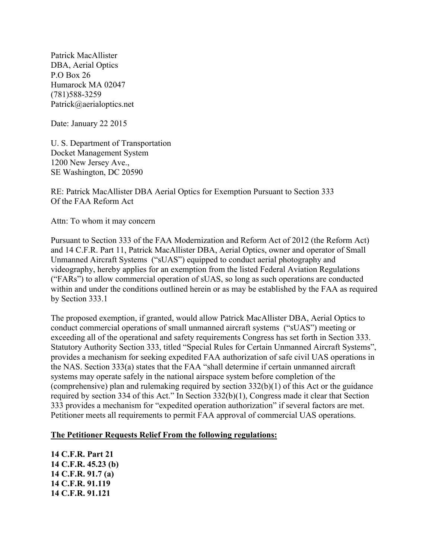Patrick MacAllister DBA, Aerial Optics P.O Box 26 Humarock MA 02047 (781)588-3259 Patrick@aerialoptics.net

Date: January 22 2015

U. S. Department of Transportation Docket Management System 1200 New Jersey Ave., SE Washington, DC 20590

RE: Patrick MacAllister DBA Aerial Optics for Exemption Pursuant to Section 333 Of the FAA Reform Act

Attn: To whom it may concern

Pursuant to Section 333 of the FAA Modernization and Reform Act of 2012 (the Reform Act) and 14 C.F.R. Part 11, Patrick MacAllister DBA, Aerial Optics, owner and operator of Small Unmanned Aircraft Systems ("sUAS") equipped to conduct aerial photography and videography, hereby applies for an exemption from the listed Federal Aviation Regulations ("FARs") to allow commercial operation of sUAS, so long as such operations are conducted within and under the conditions outlined herein or as may be established by the FAA as required by Section 333.1

The proposed exemption, if granted, would allow Patrick MacAllister DBA, Aerial Optics to conduct commercial operations of small unmanned aircraft systems ("sUAS") meeting or exceeding all of the operational and safety requirements Congress has set forth in Section 333. Statutory Authority Section 333, titled "Special Rules for Certain Unmanned Aircraft Systems", provides a mechanism for seeking expedited FAA authorization of safe civil UAS operations in the NAS. Section 333(a) states that the FAA "shall determine if certain unmanned aircraft systems may operate safely in the national airspace system before completion of the (comprehensive) plan and rulemaking required by section 332(b)(1) of this Act or the guidance required by section 334 of this Act." In Section 332(b)(1), Congress made it clear that Section 333 provides a mechanism for "expedited operation authorization" if several factors are met. Petitioner meets all requirements to permit FAA approval of commercial UAS operations.

#### **The Petitioner Requests Relief From the following regulations:**

**14 C.F.R. Part 21 14 C.F.R. 45.23 (b) 14 C.F.R. 91.7 (a) 14 C.F.R. 91.119 14 C.F.R. 91.121**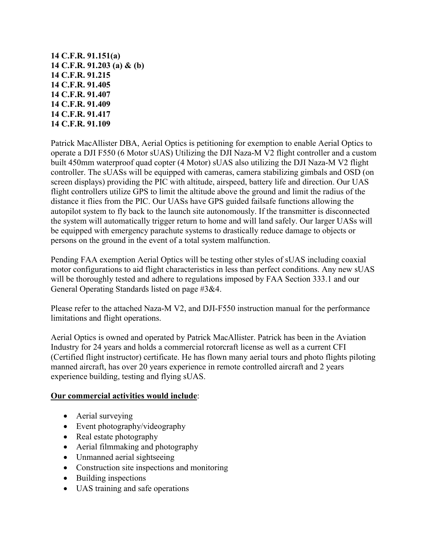**14 C.F.R. 91.151(a) 14 C.F.R. 91.203 (a) & (b) 14 C.F.R. 91.215 14 C.F.R. 91.405 14 C.F.R. 91.407 14 C.F.R. 91.409 14 C.F.R. 91.417 14 C.F.R. 91.109**

Patrick MacAllister DBA, Aerial Optics is petitioning for exemption to enable Aerial Optics to operate a DJI F550 (6 Motor sUAS) Utilizing the DJI Naza-M V2 flight controller and a custom built 450mm waterproof quad copter (4 Motor) sUAS also utilizing the DJI Naza-M V2 flight controller. The sUASs will be equipped with cameras, camera stabilizing gimbals and OSD (on screen displays) providing the PIC with altitude, airspeed, battery life and direction. Our UAS flight controllers utilize GPS to limit the altitude above the ground and limit the radius of the distance it flies from the PIC. Our UASs have GPS guided failsafe functions allowing the autopilot system to fly back to the launch site autonomously. If the transmitter is disconnected the system will automatically trigger return to home and will land safely. Our larger UASs will be equipped with emergency parachute systems to drastically reduce damage to objects or persons on the ground in the event of a total system malfunction.

Pending FAA exemption Aerial Optics will be testing other styles of sUAS including coaxial motor configurations to aid flight characteristics in less than perfect conditions. Any new sUAS will be thoroughly tested and adhere to regulations imposed by FAA Section 333.1 and our General Operating Standards listed on page #3&4.

Please refer to the attached Naza-M V2, and DJI-F550 instruction manual for the performance limitations and flight operations.

Aerial Optics is owned and operated by Patrick MacAllister. Patrick has been in the Aviation Industry for 24 years and holds a commercial rotorcraft license as well as a current CFI (Certified flight instructor) certificate. He has flown many aerial tours and photo flights piloting manned aircraft, has over 20 years experience in remote controlled aircraft and 2 years experience building, testing and flying sUAS.

#### **Our commercial activities would include**:

- Aerial surveying
- Event photography/videography
- Real estate photography
- Aerial filmmaking and photography
- Unmanned aerial sightseeing
- Construction site inspections and monitoring
- Building inspections
- UAS training and safe operations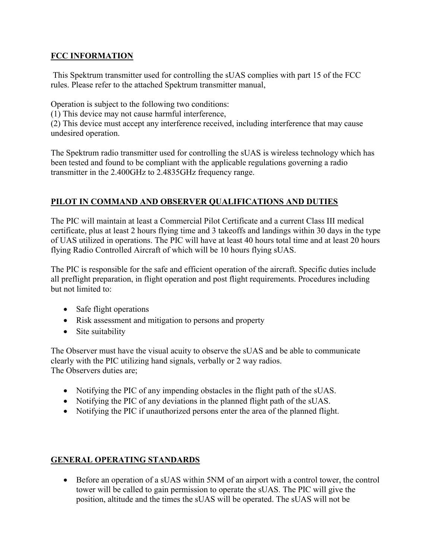### **FCC INFORMATION**

This Spektrum transmitter used for controlling the sUAS complies with part 15 of the FCC rules. Please refer to the attached Spektrum transmitter manual,

Operation is subject to the following two conditions:

(1) This device may not cause harmful interference,

(2) This device must accept any interference received, including interference that may cause undesired operation.

The Spektrum radio transmitter used for controlling the sUAS is wireless technology which has been tested and found to be compliant with the applicable regulations governing a radio transmitter in the 2.400GHz to 2.4835GHz frequency range.

# **PILOT IN COMMAND AND OBSERVER QUALIFICATIONS AND DUTIES**

The PIC will maintain at least a Commercial Pilot Certificate and a current Class III medical certificate, plus at least 2 hours flying time and 3 takeoffs and landings within 30 days in the type of UAS utilized in operations. The PIC will have at least 40 hours total time and at least 20 hours flying Radio Controlled Aircraft of which will be 10 hours flying sUAS.

The PIC is responsible for the safe and efficient operation of the aircraft. Specific duties include all preflight preparation, in flight operation and post flight requirements. Procedures including but not limited to:

- Safe flight operations
- Risk assessment and mitigation to persons and property
- Site suitability

The Observer must have the visual acuity to observe the sUAS and be able to communicate clearly with the PIC utilizing hand signals, verbally or 2 way radios. The Observers duties are;

- Notifying the PIC of any impending obstacles in the flight path of the sUAS.
- Notifying the PIC of any deviations in the planned flight path of the sUAS.
- Notifying the PIC if unauthorized persons enter the area of the planned flight.

## **GENERAL OPERATING STANDARDS**

 Before an operation of a sUAS within 5NM of an airport with a control tower, the control tower will be called to gain permission to operate the sUAS. The PIC will give the position, altitude and the times the sUAS will be operated. The sUAS will not be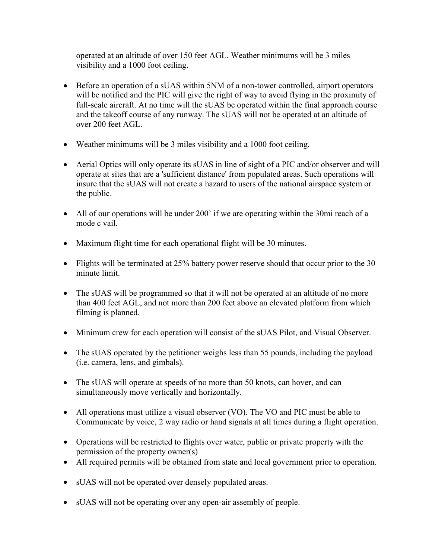operated at an altitude of over 150 feet AGL. Weather minimums will be 3 miles visibility and a 1000 foot ceiling.

- Before an operation of a sUAS within 5NM of a non-tower controlled, airport operators will be notified and the PIC will give the right of way to avoid flying in the proximity of full-scale aircraft. At no time will the sUAS be operated within the final approach course and the takeoff course of any runway. The sUAS will not be operated at an altitude of over 200 feet AGL.
- Weather minimums will be 3 miles visibility and a 1000 foot ceiling.
- Aerial Optics will only operate its sUAS in line of sight of a PIC and/or observer and will operate at sites that are a 'sufficient distance' from populated areas. Such operations will insure that the sUAS will not create a hazard to users of the national airspace system or the public.
- All of our operations will be under 200' if we are operating within the 30mi reach of a mode c vail.
- Maximum flight time for each operational flight will be 30 minutes.
- Flights will be terminated at 25% battery power reserve should that occur prior to the 30 minute limit.
- The sUAS will be programmed so that it will not be operated at an altitude of no more than 400 feet AGL, and not more than 200 feet above an elevated platform from which filming is planned.
- Minimum crew for each operation will consist of the sUAS Pilot, and Visual Observer.
- The sUAS operated by the petitioner weighs less than 55 pounds, including the payload (i.e. camera, lens, and gimbals).
- The sUAS will operate at speeds of no more than 50 knots, can hover, and can simultaneously move vertically and horizontally.
- All operations must utilize a visual observer (VO). The VO and PIC must be able to Communicate by voice, 2 way radio or hand signals at all times during a flight operation.
- Operations will be restricted to flights over water, public or private property with the permission of the property owner(s)
- All required permits will be obtained from state and local government prior to operation.
- sUAS will not be operated over densely populated areas.
- sUAS will not be operating over any open-air assembly of people.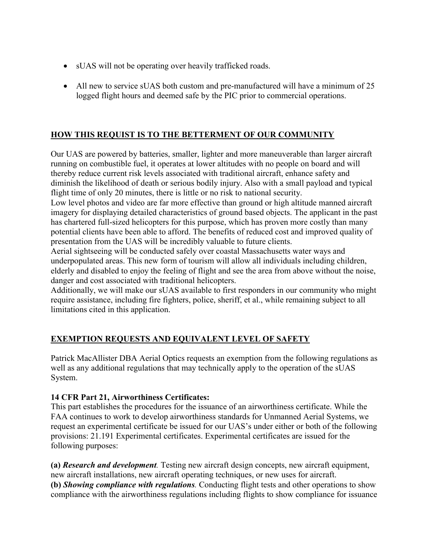- sUAS will not be operating over heavily trafficked roads.
- All new to service sUAS both custom and pre-manufactured will have a minimum of 25 logged flight hours and deemed safe by the PIC prior to commercial operations.

## **HOW THIS REQUIST IS TO THE BETTERMENT OF OUR COMMUNITY**

Our UAS are powered by batteries, smaller, lighter and more maneuverable than larger aircraft running on combustible fuel, it operates at lower altitudes with no people on board and will thereby reduce current risk levels associated with traditional aircraft, enhance safety and diminish the likelihood of death or serious bodily injury. Also with a small payload and typical flight time of only 20 minutes, there is little or no risk to national security.

Low level photos and video are far more effective than ground or high altitude manned aircraft imagery for displaying detailed characteristics of ground based objects. The applicant in the past has chartered full-sized helicopters for this purpose, which has proven more costly than many potential clients have been able to afford. The benefits of reduced cost and improved quality of presentation from the UAS will be incredibly valuable to future clients.

Aerial sightseeing will be conducted safely over coastal Massachusetts water ways and underpopulated areas. This new form of tourism will allow all individuals including children, elderly and disabled to enjoy the feeling of flight and see the area from above without the noise, danger and cost associated with traditional helicopters.

Additionally, we will make our sUAS available to first responders in our community who might require assistance, including fire fighters, police, sheriff, et al., while remaining subject to all limitations cited in this application.

## **EXEMPTION REQUESTS AND EQUIVALENT LEVEL OF SAFETY**

Patrick MacAllister DBA Aerial Optics requests an exemption from the following regulations as well as any additional regulations that may technically apply to the operation of the sUAS System.

### **14 CFR Part 21, Airworthiness Certificates:**

This part establishes the procedures for the issuance of an airworthiness certificate. While the FAA continues to work to develop airworthiness standards for Unmanned Aerial Systems, we request an experimental certificate be issued for our UAS's under either or both of the following provisions: 21.191 Experimental certificates. Experimental certificates are issued for the following purposes:

**(a)** *Research and development.* Testing new aircraft design concepts, new aircraft equipment, new aircraft installations, new aircraft operating techniques, or new uses for aircraft. **(b)** *Showing compliance with regulations.* Conducting flight tests and other operations to show compliance with the airworthiness regulations including flights to show compliance for issuance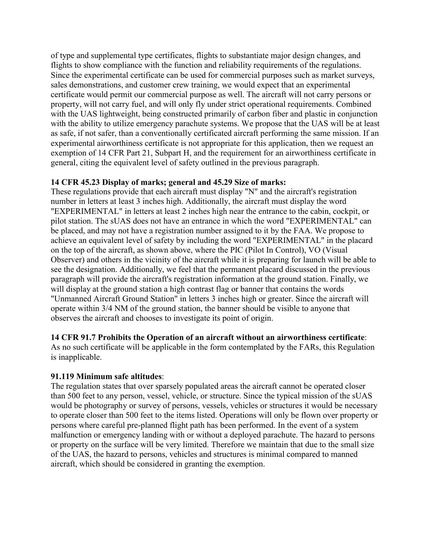of type and supplemental type certificates, flights to substantiate major design changes, and flights to show compliance with the function and reliability requirements of the regulations. Since the experimental certificate can be used for commercial purposes such as market surveys, sales demonstrations, and customer crew training, we would expect that an experimental certificate would permit our commercial purpose as well. The aircraft will not carry persons or property, will not carry fuel, and will only fly under strict operational requirements. Combined with the UAS lightweight, being constructed primarily of carbon fiber and plastic in conjunction with the ability to utilize emergency parachute systems. We propose that the UAS will be at least as safe, if not safer, than a conventionally certificated aircraft performing the same mission. If an experimental airworthiness certificate is not appropriate for this application, then we request an exemption of 14 CFR Part 21, Subpart H, and the requirement for an airworthiness certificate in general, citing the equivalent level of safety outlined in the previous paragraph.

### **14 CFR 45.23 Display of marks; general and 45.29 Size of marks:**

These regulations provide that each aircraft must display "N" and the aircraft's registration number in letters at least 3 inches high. Additionally, the aircraft must display the word "EXPERIMENTAL" in letters at least 2 inches high near the entrance to the cabin, cockpit, or pilot station. The sUAS does not have an entrance in which the word "EXPERIMENTAL" can be placed, and may not have a registration number assigned to it by the FAA. We propose to achieve an equivalent level of safety by including the word "EXPERIMENTAL" in the placard on the top of the aircraft, as shown above, where the PIC (Pilot In Control), VO (Visual Observer) and others in the vicinity of the aircraft while it is preparing for launch will be able to see the designation. Additionally, we feel that the permanent placard discussed in the previous paragraph will provide the aircraft's registration information at the ground station. Finally, we will display at the ground station a high contrast flag or banner that contains the words "Unmanned Aircraft Ground Station" in letters 3 inches high or greater. Since the aircraft will operate within 3/4 NM of the ground station, the banner should be visible to anyone that observes the aircraft and chooses to investigate its point of origin.

### **14 CFR 91.7 Prohibits the Operation of an aircraft without an airworthiness certificate**:

As no such certificate will be applicable in the form contemplated by the FARs, this Regulation is inapplicable.

### **91.119 Minimum safe altitudes**:

The regulation states that over sparsely populated areas the aircraft cannot be operated closer than 500 feet to any person, vessel, vehicle, or structure. Since the typical mission of the sUAS would be photography or survey of persons, vessels, vehicles or structures it would be necessary to operate closer than 500 feet to the items listed. Operations will only be flown over property or persons where careful pre-planned flight path has been performed. In the event of a system malfunction or emergency landing with or without a deployed parachute. The hazard to persons or property on the surface will be very limited. Therefore we maintain that due to the small size of the UAS, the hazard to persons, vehicles and structures is minimal compared to manned aircraft, which should be considered in granting the exemption.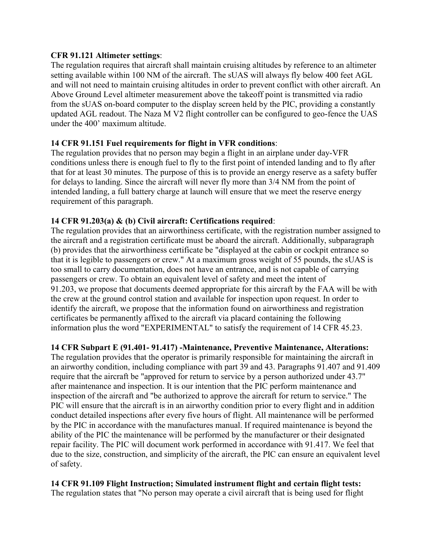#### **CFR 91.121 Altimeter settings**:

The regulation requires that aircraft shall maintain cruising altitudes by reference to an altimeter setting available within 100 NM of the aircraft. The sUAS will always fly below 400 feet AGL and will not need to maintain cruising altitudes in order to prevent conflict with other aircraft. An Above Ground Level altimeter measurement above the takeoff point is transmitted via radio from the sUAS on-board computer to the display screen held by the PIC, providing a constantly updated AGL readout. The Naza M V2 flight controller can be configured to geo-fence the UAS under the 400' maximum altitude.

### **14 CFR 91.151 Fuel requirements for flight in VFR conditions**:

The regulation provides that no person may begin a flight in an airplane under day-VFR conditions unless there is enough fuel to fly to the first point of intended landing and to fly after that for at least 30 minutes. The purpose of this is to provide an energy reserve as a safety buffer for delays to landing. Since the aircraft will never fly more than 3/4 NM from the point of intended landing, a full battery charge at launch will ensure that we meet the reserve energy requirement of this paragraph.

### **14 CFR 91.203(a) & (b) Civil aircraft: Certifications required**:

The regulation provides that an airworthiness certificate, with the registration number assigned to the aircraft and a registration certificate must be aboard the aircraft. Additionally, subparagraph (b) provides that the airworthiness certificate be "displayed at the cabin or cockpit entrance so that it is legible to passengers or crew." At a maximum gross weight of 55 pounds, the sUAS is too small to carry documentation, does not have an entrance, and is not capable of carrying passengers or crew. To obtain an equivalent level of safety and meet the intent of 91.203, we propose that documents deemed appropriate for this aircraft by the FAA will be with the crew at the ground control station and available for inspection upon request. In order to identify the aircraft, we propose that the information found on airworthiness and registration certificates be permanently affixed to the aircraft via placard containing the following information plus the word "EXPERIMENTAL" to satisfy the requirement of 14 CFR 45.23.

### **14 CFR Subpart E (91.401- 91.417) -Maintenance, Preventive Maintenance, Alterations:**

The regulation provides that the operator is primarily responsible for maintaining the aircraft in an airworthy condition, including compliance with part 39 and 43. Paragraphs 91.407 and 91.409 require that the aircraft be "approved for return to service by a person authorized under 43.7" after maintenance and inspection. It is our intention that the PIC perform maintenance and inspection of the aircraft and "be authorized to approve the aircraft for return to service." The PIC will ensure that the aircraft is in an airworthy condition prior to every flight and in addition conduct detailed inspections after every five hours of flight. All maintenance will be performed by the PIC in accordance with the manufactures manual. If required maintenance is beyond the ability of the PIC the maintenance will be performed by the manufacturer or their designated repair facility. The PIC will document work performed in accordance with 91.417. We feel that due to the size, construction, and simplicity of the aircraft, the PIC can ensure an equivalent level of safety.

### **14 CFR 91.109 Flight Instruction; Simulated instrument flight and certain flight tests:**

The regulation states that "No person may operate a civil aircraft that is being used for flight